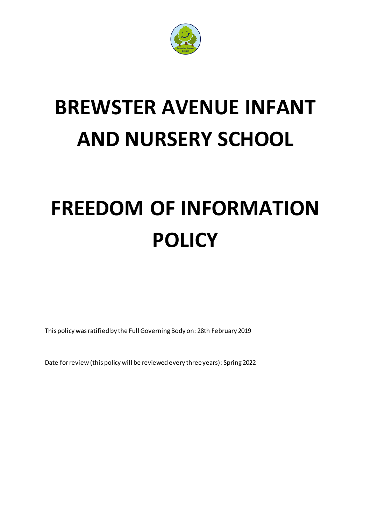

# **BREWSTER AVENUE INFANT AND NURSERY SCHOOL**

# **FREEDOM OF INFORMATION POLICY**

This policy was ratified by the Full Governing Body on: 28th February 2019

Date for review (this policy will be reviewed every three years): Spring 2022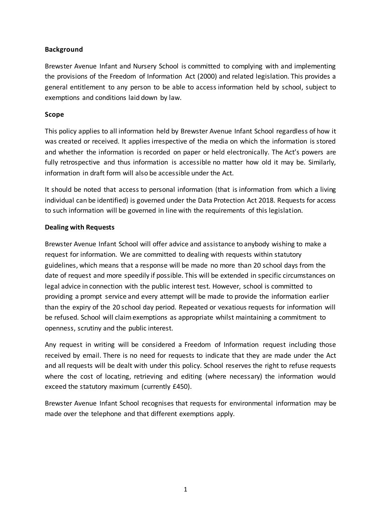# **Background**

Brewster Avenue Infant and Nursery School is committed to complying with and implementing the provisions of the Freedom of Information Act (2000) and related legislation. This provides a general entitlement to any person to be able to access information held by school, subject to exemptions and conditions laid down by law.

# **Scope**

This policy applies to all information held by Brewster Avenue Infant School regardless of how it was created or received. It applies irrespective of the media on which the information is stored and whether the information is recorded on paper or held electronically. The Act's powers are fully retrospective and thus information is accessible no matter how old it may be. Similarly, information in draft form will also be accessible under the Act.

It should be noted that access to personal information (that is information from which a living individual can be identified) is governed under the Data Protection Act 2018. Requests for access to such information will be governed in line with the requirements of this legislation.

#### **Dealing with Requests**

Brewster Avenue Infant School will offer advice and assistance to anybody wishing to make a request for information. We are committed to dealing with requests within statutory guidelines, which means that a response will be made no more than 20 school days from the date of request and more speedily if possible. This will be extended in specific circumstances on legal advice in connection with the public interest test. However, school is committed to providing a prompt service and every attempt will be made to provide the information earlier than the expiry of the 20 school day period. Repeated or vexatious requests for information will be refused. School will claim exemptions as appropriate whilst maintaining a commitment to openness, scrutiny and the public interest.

Any request in writing will be considered a Freedom of Information request including those received by email. There is no need for requests to indicate that they are made under the Act and all requests will be dealt with under this policy. School reserves the right to refuse requests where the cost of locating, retrieving and editing (where necessary) the information would exceed the statutory maximum (currently £450).

Brewster Avenue Infant School recognises that requests for environmental information may be made over the telephone and that different exemptions apply.